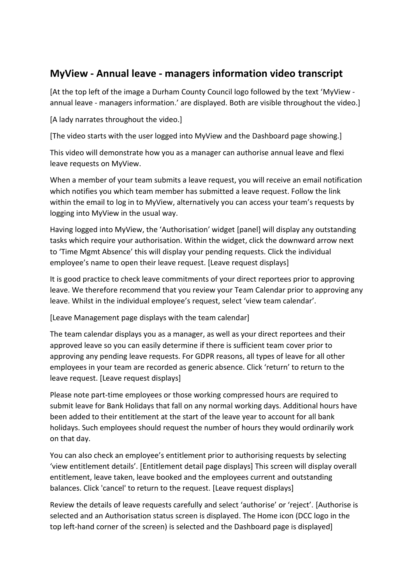## **MyView - Annual leave - managers information video transcript**

[At the top left of the image a Durham County Council logo followed by the text 'MyView annual leave - managers information.' are displayed. Both are visible throughout the video.]

[A lady narrates throughout the video.]

[The video starts with the user logged into MyView and the Dashboard page showing.]

This video will demonstrate how you as a manager can authorise annual leave and flexi leave requests on MyView.

When a member of your team submits a leave request, you will receive an email notification which notifies you which team member has submitted a leave request. Follow the link within the email to log in to MyView, alternatively you can access your team's requests by logging into MyView in the usual way.

Having logged into MyView, the 'Authorisation' widget [panel] will display any outstanding tasks which require your authorisation. Within the widget, click the downward arrow next to 'Time Mgmt Absence' this will display your pending requests. Click the individual employee's name to open their leave request. [Leave request displays]

It is good practice to check leave commitments of your direct reportees prior to approving leave. We therefore recommend that you review your Team Calendar prior to approving any leave. Whilst in the individual employee's request, select 'view team calendar'.

[Leave Management page displays with the team calendar]

The team calendar displays you as a manager, as well as your direct reportees and their approved leave so you can easily determine if there is sufficient team cover prior to approving any pending leave requests. For GDPR reasons, all types of leave for all other employees in your team are recorded as generic absence. Click 'return' to return to the leave request. [Leave request displays]

Please note part-time employees or those working compressed hours are required to submit leave for Bank Holidays that fall on any normal working days. Additional hours have been added to their entitlement at the start of the leave year to account for all bank holidays. Such employees should request the number of hours they would ordinarily work on that day.

You can also check an employee's entitlement prior to authorising requests by selecting 'view entitlement details'. [Entitlement detail page displays] This screen will display overall entitlement, leave taken, leave booked and the employees current and outstanding balances. Click 'cancel' to return to the request. [Leave request displays]

Review the details of leave requests carefully and select 'authorise' or 'reject'. [Authorise is selected and an Authorisation status screen is displayed. The Home icon (DCC logo in the top left-hand corner of the screen) is selected and the Dashboard page is displayed]